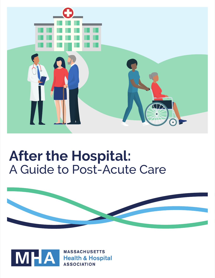

# **After the Hospital:** A Guide to Post-Acute Care



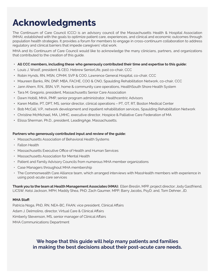# **Acknowledgments**

The Continuum of Care Council (CCC) is an advisory council of the Massachusetts Health & Hospital Association (MHA), established with the goals to optimize patient care, experiences, and clinical and economic outcomes through population health strategies. It provides a forum for members to engage in cross-continuum collaboration to address regulatory and clinical barriers that impede caregivers' vital work.

MHA and its Continuum of Care Council would like to acknowledge the many clinicians, partners, and organizations that contributed to the creation of this guide.

#### **• All CCC members, including these who generously contributed their time and expertise to this guide:**

- **•** Louis J. Woolf, president & CEO, Hebrew SeniorLife, past co-chair, CCC
- **•** Robin Hynds, RN, MSN, CPHM, SVP & COO, Lawrence General Hospital, co-chair, CCC
- **•** Maureen Banks, RN, DNP, MBA, FACHE, COO & CNO, Spaulding Rehabilitation Network, co-chair, CCC
- **•** Jann Ahern, R.N., BSN, V.P., home & community care operations, HealthSouth Shore Health System
- **•** Tara M. Gregorio, president, Massachusetts Senior Care Association
- **•** Dawn Hobill, MHA, PMP, senior program administrator, Healthcentric Advisors
- **•** Karen Mattie, PT, DPT, MS, senior director, clinical operations PT, OT, RT, Boston Medical Center
- **•** Bob McCall, V.P., network development and inpatient rehabilitation services, Spaulding Rehabilitation Network
- **•** Christine McMichael, MA, LMHC, executive director, Hospice & Palliative Care Federation of MA
- **•** Elissa Sherman, Ph.D., president, LeadingAge, Massachusetts.

#### **Partners who generously contributed input and review of the guide:**

- Massachusetts Association of Behavioral Health Systems
- Fallon Health
- Massachusetts Executive Office of Health and Human Services
- Massachusetts Association for Mental Health
- Patient and Family Advisory Councils from numerous MHA member organizations
- Case Managers throughout MHA membership
- The Commonwealth Care Alliance team, which arranged interviews with MassHealth members with experience in using post-acute care services

**Thank you to the team at Health Management Associates (HMA):** Ellen Breslin, MPP, project director; Jody Gastfriend, LICSW; Kelsi Jackson, MPH; Maddy Shea, PhD; Zach Gaumer, MPP; Barry Jacobs, PsyD; and, Tom Dehner, JD.

#### **MHA Staff:**

Patricia Noga, PhD, RN, NEA-BC, FAAN, vice president, Clinical Affairs Adam J. Delmolino, director, Virtual Care & Clinical Affairs Kimberly Stevenson, MS, senior manager of Clinical Affairs MHA Communications Department

## **We hope that this guide will help many patients and families in making the best decisions about their post-acute care needs.**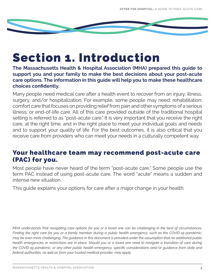# Section 1. Introduction

**The Massachusetts Health & Hospital Association (MHA) prepared this guide to support you and your family to make the best decisions about your post-acute care options. The information in this guide will help you to make these healthcare choices confidently.** 

Many people need medical care after a health event to recover from an injury, illness, surgery, and/or hospitalization. For example, some people may need: rehabilitation; comfort care that focuses on providing relief from pain and other symptoms of a serious illness; or end-of-life care. All of this care provided outside of the traditional hospital setting is referred to as "post-acute care." It is very important that you receive the right care, at the right time, and in the right place to meet your individual goals and needs and to support your quality of life. For the best outcomes, it is also critical that you receive care from providers who can meet your needs in a culturally competent way.

## Your healthcare team may recommend post-acute care (PAC) for you.

Most people have never heard of the term "post-acute care." Some people use the term PAC instead of using post-acute care. The word "acute" means a sudden and intense new situation.

This guide explains your options for care after a major change in your health.

*MHA understands that navigating care options for you or a loved one can be challenging in the best of circumstances. Finding the right care for you or a family member during a public health emergency, such as the COVID-19 pandemic, may be even more challenging. The guidance in this document is provided under the assumption that no additional public health emergencies or restrictions are in place. Should you or a loved one need to navigate a transition of care during the COVID-19 pandemic, or any other public health emergency, specific considerations and/or guidance from state and federal authorities, as well as from your trusted medical provider, may apply.*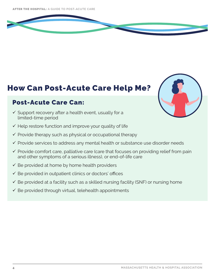## How Can Post-Acute Care Help Me?

## Post-Acute Care Can:

- $\checkmark$  Support recovery after a health event, usually for a limited-time period
- $\checkmark$  Help restore function and improve your quality of life
- $\checkmark$  Provide therapy such as physical or occupational therapy
- $\checkmark$  Provide services to address any mental health or substance use disorder needs
- $\checkmark$  Provide comfort care, palliative care (care that focuses on providing relief from pain and other symptoms of a serious illness), or end-of-life care
- $\checkmark$  Be provided at home by home health providers
- $\checkmark$  Be provided in outpatient clinics or doctors' offices
- $\checkmark$  Be provided at a facility such as a skilled nursing facility (SNF) or nursing home
- $\checkmark$  Be provided through virtual, telehealth appointments

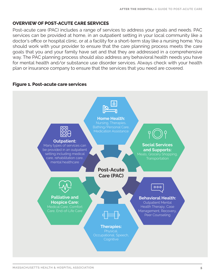## **OVERVIEW OF POST-ACUTE CARE SERVICES**

Post-acute care (PAC) includes a range of services to address your goals and needs. PAC services can be provided at home, in an outpatient setting in your local community like a doctor's office or hospital clinic, or at a facility for a short-term stay like a nursing home. You should work with your provider to ensure that the care planning process meets the care goals that you and your family have set and that they are addressed in a comprehensive way. The PAC planning process should also address any behavioral health needs you have for mental health and/or substance use disorder services. Always check with your health plan or insurance company to ensure that the services that you need are covered.

## **Figure 1. Post-acute care services**

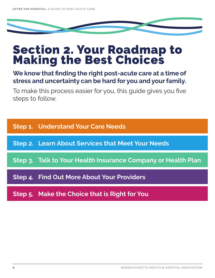# Section 2. Your Roadmap to Making the Best Choices

**We know that finding the right post-acute care at a time of stress and uncertainty can be hard for you and your family.** 

To make this process easier for you, this guide gives you five steps to follow.

**Step 1. Understand Your Care Needs** 

**Step 2. Learn About Services that Meet Your Needs** 

**Step 3. Talk to Your Health Insurance Company or Health Plan** 

**Step 4. Find Out More About Your Providers**

**Step 5. Make the Choice that is Right for You**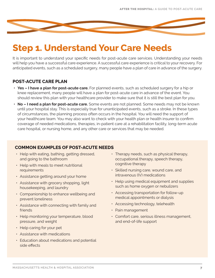

# **Step 1. Understand Your Care Needs**

It is important to understand your specific needs for post-acute care services. Understanding your needs will help you have a successful care experience. A successful care experience is critical to your recovery. For anticipated events, such as a scheduled surgery, many people have a plan of care in advance of the surgery.

## **POST-ACUTE CARE PLAN**

- **• Yes I have a plan for post-acute care.** For planned events, such as scheduled surgery for a hip or knee replacement, many people will have a plan for post-acute care in advance of the event. You should review this plan with your healthcare provider to make sure that it is still the best plan for you.
- **• No I need a plan for post-acute care.** Some events are not planned. Some needs may not be known until your hospital stay. This is especially true for unanticipated events, such as a stroke. In these types of circumstances, the planning process often occurs in the hospital. You will need the support of your healthcare team. You may also want to check with your health plan or health insurer to confirm coverage of needed medications, therapies, in-patient care at a rehabilitation facility, long-term acute care hospital, or nursing home, and any other care or services that may be needed.

## **COMMON EXAMPLES OF POST-ACUTE NEEDS**

- Help with eating, bathing, getting dressed, and going to the bathroom
- Help with meals to meet nutritional requirements
- Assistance getting around your home
- Assistance with grocery shopping, light housekeeping, and laundry
- Companionship to enhance wellbeing and prevent loneliness
- Assistance with connecting with family and friends
- Help monitoring your temperature, blood pressure, and weight
- Help caring for your pet
- Assistance with medications
- Education about medications and potential side effects
- Therapy needs, such as physical therapy, occupational therapy, speech therapy, cognitive therapy
- Skilled nursing care, wound care, and intravenous (IV) medications
- Help using medical equipment and supplies such as home oxygen or nebulizers
- Accessing transportation for follow-up medical appointments or dialysis
- Accessing technology, telehealth
- Pain management
- Comfort care, serious illness management, and end-of-life support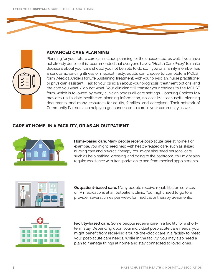

## **ADVANCED CARE PLANNING**

Planning for your future care can include planning for the unexpected, as well. If you have not already done so, it is recommended that everyone have a "Health Care Proxy" to make decisions about your care should you not be able to do so. If you or a family member has a serious advancing illness or medical frailty, adults can choose to complete a MOLST form (Medical Orders for Life Sustaining Treatment) with your physician, nurse practitioner or physician assistant. Talk to your clinician about your prognosis, treatment options, and the care you want / do not want. Your clinician will transfer your choices to the MOLST form, which is followed by every clinician across all care settings. Honoring Choices MA provides up-to-date healthcare planning information, no-cost Massachusetts planning documents, and many resources for adults, families, and caregivers. Their network of Community Partners can help you get connected to care in your community as well.

## **CARE AT HOME, IN A FACILITY, OR AS AN OUTPATIENT**



**Home-based care.** Many people receive post-acute care at home. For example, you might need help with health-related care, such as skilled nursing care and physical therapy. You might also need personal care, such as help bathing, dressing, and going to the bathroom. You might also require assistance with transportation to and from medical appointments.



**Outpatient-based care.** Many people receive rehabilitation services or IV medications at an outpatient clinic. You might need to go to a provider several times per week for medical or therapy treatments.



**Facility-based care.** Some people receive care in a facility for a shortterm stay. Depending upon your individual post-acute care needs, you might benefit from receiving around-the-clock care in a facility to meet your post-acute care needs. While in the facility, you may also need a plan to manage things at home and stay connected to loved ones.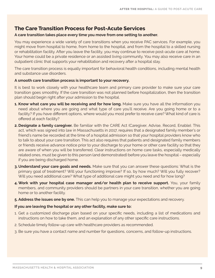## **The Care Transition Process for Post-Acute Services**

### **A care transition takes place every time you move from one setting to another.**

You may experience a wide variety of care transitions when you receive PAC services. For example, you might move from hospital to home, from home to the hospital, and from the hospital to a skilled nursing or rehabilitation facility. After you leave the facility, you may continue to receive post-acute care at home. Your home could be a private residence or an assisted living community. You may also receive care in an outpatient clinic that supports your rehabilitation and recovery after a hospital stay.

The care transition process is equally important for behavioral health conditions, including mental health and substance use disorders.

#### **A smooth care transition process is important to your recovery.**

It is best to work closely with your healthcare team and primary care provider to make sure your care transition goes smoothly. If the care transition was not planned before hospitalization, then the transition plan should begin right after your admission to the hospital.

- **1. Know what care you will be receiving and for how long.** Make sure you have all the information you need about where you are going and what type of care you'll receive. Are you going home or to a facility? If you have different options, where would you most prefer to receive care? What kind of care is offered at each facility?
- **2. Designate a family caregiver.** Be familiar with the CARE Act (Caregiver, Advise, Record, Enable). This act, which was signed into law in Massachusetts in 2017, requires that a designated family member's or friend's name be recorded at the time of a hospital admission so that your hospital providers know who to talk to about your care transition. This act also requires that patients and designated family members or friends receive advance notice prior to your discharge to your home or other care facility so that they are aware of when you will be transferred. Clear instructions on home care tasks, especially medically related ones, must be given to this person (and demonstrated) before you leave the hospital – especially if you are being discharged home.
- **3. Understand your care goals and needs.** Make sure that you can answer these questions: What is the primary goal of treatment? Will your functioning improve? If so, by how much? Will you fully recover? Will you need additional care? What type of additional care might you need and for how long?
- **4. Work with your hospital case manager and/or health plan to receive support.** You, your family members, and community providers should be partners in your care transition, whether you are going home or to another facility.
- **5. Address the issues one by one.** This can help you to manage your expectations and recovery.

## **If you are leaving the hospital or any other facility, make sure to:**

- 1. Get a customized discharge plan based on your specific needs, including a list of medications and instructions on how to take them, and an explanation of any other specific care instructions.
- 2. Schedule timely follow-up care with healthcare providers as recommended.
- 3. Be sure you have a contact name and number for questions, concerns, and follow-up instructions.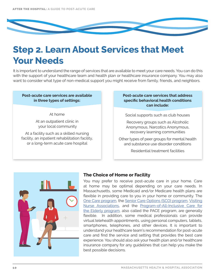

## **Step 2. Learn About Services that Meet Your Needs**

It is important to understand the range of services that are available to meet your care needs. You can do this with the support of your healthcare team and health plan or healthcare insurance company. You may also want to consider what type of non-medical support you might receive from family, friends, and neighbors.

## **Post-acute care services are available in three types of settings:**

At home

At an outpatient clinic in your local community

At a facility such as a skilled nursing facility, an inpatient rehabilitation facility, or a long-term acute care hospital

## **Post-acute care services that address specific behavioral health conditions can include:**

Social supports such as club houses

Recovery groups such as Alcoholic Anonymous, Narcotics Anonymous, recovery learning communities

Other types of peer groups for mental health and substance use disorder conditions

Residential treatment facilities



## **The Choice of Home or Facility**

You may prefer to receive post-acute care in your home. Care at home may be optimal depending on your care needs. In Massachusetts, some Medicaid and/or Medicare health plans are flexible in providing care to you in your home or community. The [One Care program,](https://www.mass.gov/service-details/one-care-fact-sheets-other-materials) the [Senior Care Options \(SCO\) program](https://www.mass.gov/senior-care-options-sco), [Visiting](https://www.vnane.org/) [Nurse Associations,](https://www.vnane.org/) and the [Program-of-All-Inclusive Care for](https://www.mass.gov/program-of-all-inclusive-care-for-the-elderly-pace) [the Elderly program,](https://www.mass.gov/program-of-all-inclusive-care-for-the-elderly-pace) also called the PACE program, are generally flexible. In addition, some medical professionals can provide virtual telehealth appointments, using personal computers, tablets, smartphones, telephones, and other devices. It is important to understand your healthcare team's recommendation for post-acute care and find the service and setting that provides the best care experience. You should also ask your health plan and/or healthcare insurance company for any guidelines that can help you make the best possible decisions.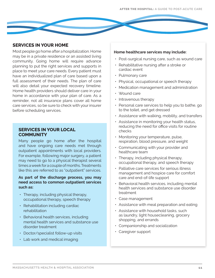

Most people go home after a hospitalization. Home may be in a private residence or an assisted living community. Going home will require advance planning to put the right services and supports in place to meet your care needs. Every patient must have an individualized plan of care based upon a full assessment of their needs. The plan of care will also detail your expected recovery timeline. Home health providers should deliver care in your home in accordance with your plan of care. As a reminder, not all insurance plans cover all home care services, so be sure to check with your insurer before scheduling services.

## **SERVICES IN YOUR LOCAL COMMUNITY**

Many people go home after the hospital and have ongoing care needs met through outpatient appointments with local providers. For example, following major surgery, a patient may need to go to a physical therapist several times a week for a couple of months. Treatments like this are referred to as "outpatient" services.

### **As part of the discharge process, you may need access to common outpatient services such as:**

- Therapy, including physical therapy, occupational therapy, speech therapy
- Rehabilitation including cardiac rehabilitation
- Behavioral health services, including mental health services and substance use disorder treatment
- Doctor/specialist follow-up visits
- Lab work and medical imaging

#### **Home healthcare services may include:**

- Post-surgical nursing care, such as wound care
- Rehabilitative nursing after a stroke or cardiac event
- Pulmonary care
- Physical, occupational or speech therapy
- Medication management and administration
- Wound care
- Intravenous therapy
- Personal care services to help you to bathe, go to the toilet, and get dressed
- Assistance with walking, mobility, and transfers
- Assistance in monitoring your health status, reducing the need for office visits for routine checks
- Monitoring your temperature, pulse, respiration, blood pressure, and weight
- Communicating with your provider and healthcare team
- Therapy, including physical therapy, occupational therapy, and speech therapy
- Palliative care services for serious illness management and hospice care for comfort care and end-of-life support
- Behavioral health services, including mental health services and substance use disorder treatment
- Case management
- Assistance with meal preparation and eating
- Assistance with household tasks, such as laundry, light housecleaning, grocery shopping, and errands
- Companionship and socialization
- Caregiver support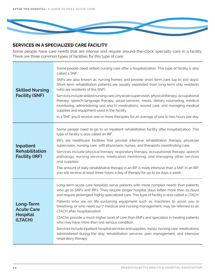

## **SERVICES IN A SPECIALIZED CARE FACILITY**

Some people have care needs that are intense and require around-the-clock specialty care in a facility. There are three common types of facilities for this type of care:

| <b>Skilled Nursing</b><br><b>Facility (SNF)</b>                    | Some people need skilled nursing care after a hospitalization. This type of facility is also<br>called a SNF.<br>SNFs are also known as nursing homes and provide short-term care (up to 100 days).<br>Short-term rehabilitation patients are usually separated from long-term stay residents<br>(who are residents of the SNF).<br>Services include skilled nursing care, physician supervision, physical therapy, occupational<br>therapy, speech-language therapy, social services, meals, dietary counseling, medical<br>monitoring, administering oral and IV medications, wound care, and managing medical<br>supplies and equipment used in the facility.<br>In a SNF, you'll receive one or more therapies for an average of one to two hours per day.                                                                                     |
|--------------------------------------------------------------------|----------------------------------------------------------------------------------------------------------------------------------------------------------------------------------------------------------------------------------------------------------------------------------------------------------------------------------------------------------------------------------------------------------------------------------------------------------------------------------------------------------------------------------------------------------------------------------------------------------------------------------------------------------------------------------------------------------------------------------------------------------------------------------------------------------------------------------------------------|
| <b>Inpatient</b><br><b>Rehabilitation</b><br><b>Facility (IRF)</b> | Some people need to go to an inpatient rehabilitation facility after hospitalization. This<br>type of facility is also called an IRF.<br>IRFs are healthcare facilities that provide intensive rehabilitation therapy, physician<br>supervision, nursing care, with physicians, nurses, and therapists coordinating care.<br>Services include physical therapy, respiratory therapy, occupational therapy, speech<br>pathology, nursing services, medication monitoring, and managing other services<br>and supplies.<br>The amount of daily rehabilitative therapy in an IRF is more intensive than a SNF. In an IRF,<br>you will receive at least three hours a day of therapy for up to six days a week.                                                                                                                                        |
| Long-Term<br><b>Acute Care</b><br><b>Hospital</b><br>(LTACH)       | Long-term acute care hospitals serve patients with more complex needs than patients<br>who go to SNFs and IRFs. They require longer hospital stays (often more than 25 days)<br>and require prolonged, highly specialized care. This type of facility is also called a LTACH.<br>Patients who are on life-sustaining equipment such as machines to assist you in<br>breathing, or who need 24/7 medical and nursing management, may be referred to an<br>LTACH after hospitalization.<br>LTACHs provide a much higher level of care than SNFs and specialize in treating patients<br>who may have more than one serious condition.<br>Services include inpatient hospital services and supplies, meals, nursing care, medications<br>administered during the stay, rehabilitation services, pain management, and intensive<br>respiratory therapy. |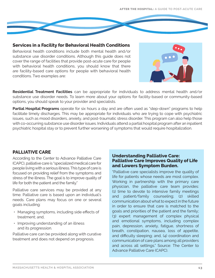AFTER THE HOSPITAL: **A GUIDE TO POST-ACUTE CARE**



## **Services in a Facility for Behavioral Health Conditions**

Behavioral health conditions include both mental health and/or substance use disorder conditions. Although this guide does not cover the range of facilities that provide post-acute care for people with behavioral health conditions, you should know that there are facility-based care options for people with behavioral health conditions. Two examples are:



**Residential Treatment Facilities** can be appropriate for individuals to address mental health and/or substance use disorder needs. To learn more about your options for facility-based or community-based options, you should speak to your provider and specialists.

**Partial Hospital Programs** operate for six hours a day and are often used as "step-down" programs to help facilitate timely discharges. This may be appropriate for individuals who are trying to cope with psychiatric issues, such as mood disorders, anxiety, and post-traumatic stress disorder. This program can also help those with co-occurring substance use disorder issues. Individuals attend a partial hospital program after an inpatient psychiatric hospital stay or to prevent further worsening of symptoms that would require hospitalization.

## **PALLIATIVE CARE**

According to the Center to Advance Palliative Care (CAPC), palliative care is "specialized medical care for people living with a serious illness. This type of care is focused on providing relief from the symptoms and stress of the illness. The goal is to improve quality of life for both the patient and the family."

Palliative care services may be provided at any time. Palliative care is based upon an individual's needs. Care plans may focus on one or several goals including:

- Managing symptoms, including side effects of treatment; and
- Improving understanding of an illness and its progression.

Palliative care can be provided along with curative treatment and does not depend on prognosis.

## **Understanding Palliative Care: Palliative Care Improves Quality of Life and Lowers Symptom Burden.**

"Palliative care specialists improve the quality of life for patients whose needs are most complex. Working in partnership with the primary care physician, the palliative care team provides: (1) time to devote to intensive family meetings and patient/family counseling; (2) skilled communication about what to expect in the future in order to ensure that care is matched to the goals and priorities of the patient and the family; (3) expert management of complex physical and emotional symptoms, including complex pain, depression, anxiety, fatigue, shortness of breath, constipation, nausea, loss of appetite, and difficulty sleeping; and, (4) coordination and communication of care plans among all providers and across all settings." Source: The Center to Advance Palliative Care (CAPC).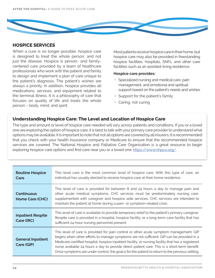

## **HOSPICE SERVICES**

When a cure is no longer possible, hospice care is designed to treat the whole person, and not just the disease. Hospice is person- and familycentered care provided by a team of healthcare professionals who work with the patient and family to design and implement a plan of care unique to the patient's diagnosis. The patient's wishes are always a priority. In addition, hospice provides all medications, services, and equipment related to the terminal illness. It is a philosophy of care that focuses on quality of life and treats the whole person – body, mind, and spirit.

Most patients receive hospice care in their home, but hospice care may also be provided in freestanding hospice facilities, hospitals, SNFs, and other care facilities such as an assisted-living residence.

#### **Hospice care provides:**

- Specialized nursing and medical care, pain management, and emotional and spiritual support based on the patient's needs and wishes
- Support for the patient's family
- Caring, not curing

## **Understanding Hospice Care: The Level and Location of Hospice Care**

The type and amount or level of hospice care needed will vary across patients and conditions. If you or a loved one are exploring the option of hospice care, it is best to talk with your primary care provider to understand what options may be available. It is important to note that not all options are covered by all insurers; it is recommended that you check with your health insurance company or Medicare to ensure that the recommended hospice services are covered. The National Hospice and Palliative Care Organization is a great resource to begin exploring hospice care options and find care near you or a loved one: <https://www.nhpco.org/>.

| <b>Routine Hospice</b><br>Care              | This level care is the most common level of hospice care. With this type of care, an<br>individual has usually elected to receive hospice care at their home residence.                                                                                                                                                                                                                                                                                                                      |
|---------------------------------------------|----------------------------------------------------------------------------------------------------------------------------------------------------------------------------------------------------------------------------------------------------------------------------------------------------------------------------------------------------------------------------------------------------------------------------------------------------------------------------------------------|
| <b>Continuous</b><br><b>Home Care (CHC)</b> | This level of care is provided for between 8 and 24 hours a day to manage pain and<br>other acute medical symptoms. CHC services must be predominately nursing care,<br>supplemented with caregiver and hospice aide services. CHC services are intended to<br>maintain the patient at home during a pain- or symptom-related crisis.                                                                                                                                                        |
| <b>Inpatient Respite</b><br>Care (IRC)      | This level of care is available to provide temporary relief to the patient's primary caregiver.<br>Respite care is provided in a hospital, hospice facility, or a long-term care facility that has<br>sufficient 24-hour nursing personnel present.                                                                                                                                                                                                                                          |
| <b>General Inpatient</b><br>Care (GIP)      | This level of care is provided for pain control or other acute symptom management. GIP<br>begins when other efforts to manage symptoms are not sufficient. GIP can be provided in a<br>Medicare-certified hospital, hospice inpatient facility, or nursing facility that has a registered<br>nurse available 24 hours a day to provide direct patient care. This is a short-term benefit.<br>Once symptoms are under control, the goal is for the patient to return to the previous setting. |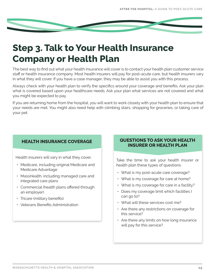

# **Step 3. Talk to Your Health Insurance Company or Health Plan**

The best way to find out what your health insurance will cover is to contact your health plan customer service staff or health insurance company. Most health insurers will pay for post-acute care, but health insurers vary in what they will cover. If you have a case manager, they may be able to assist you with this process.

Always check with your health plan to verify the specifics around your coverage and benefits. Ask your plan what is covered based upon your healthcare needs. Ask your plan what services are not covered and what you might be expected to pay.

If you are returning home from the hospital, you will want to work closely with your health plan to ensure that your needs are met. You might also need help with climbing stairs, shopping for groceries, or taking care of your pet.

Health insurers will vary in what they cover.

- Medicare, including original Medicare and Medicare Advantage
- MassHealth, including managed care and integrated care plans
- Commercial (health plans offered through an employer)
- Tricare (military benefits)
- Veterans Benefits Administration

## **HEALTH INSURANCE COVERAGE QUESTIONS TO ASK YOUR HEALTH INSURER OR HEALTH PLAN**

Take the time to ask your health insurer or health plan these types of questions.

- What is my post-acute care coverage?
- What is my coverage for care at home?
- What is my coverage for care in a facility?
- Does my coverage limit which facilities I can go to?
- What will these services cost me?
- Are there any restrictions on coverage for this service?
- Are there any limits on how long insurance will pay for this service?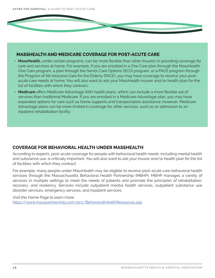## **MASSHEALTH AND MEDICARE COVERAGE FOR POST-ACUTE CARE**

- **• MassHealth,** under certain programs, can be more flexible than other insurers in providing coverage for care and services at home. For example, if you are enrolled in a One Care plan through the MassHealth One Care program, a plan through the Senior Care Options (SCO) program, or a PACE program through the Program of All-Inclusive Care for the Elderly (PACE), you may have coverage to receive your postacute care needs at home. You will also want to ask your MassHealth insurer and/or health plan for the list of facilities with which they contract.
- **• Medicare** offers Medicare Advantage (MA) health plans, which can include a more flexible set of services than traditional Medicare. If you are enrolled in a Medicare Advantage plan, you may have expanded options for care such as home supports and transportation assistance; however, Medicare Advantage plans can be more limited in coverage for other services, such as an admission to an inpatient rehabilitation facility.

## **COVERAGE FOR BEHAVIORAL HEALTH UNDER MASSHEALTH**

According to experts, post-acute coverage for people with behavioral health needs, including mental health and substance use, is critically important. You will also want to ask your insurer and/or health plan for the list of facilities with which they contract.

For example, many people under MassHealth may be eligible to receive post-acute care behavioral health services through the Massachusetts Behavioral Health Partnership (MBHP). MBHP manages a variety of services in multiple settings to meet the needs of patients and promote the principles of rehabilitation, recovery, and resiliency. Services include outpatient mental health services, outpatient substance use disorder services, emergency services, and inpatient services.

Visit the Home Page to learn more: [https://www.masspartnership.com/pcc/BehavioralHealthResources.asp](https://www.masspartnership.com/pcc/BehavioralHealthResources.aspx)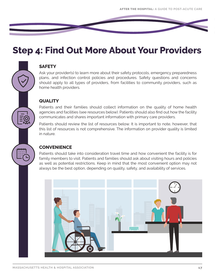## **Step 4: Find Out More About Your Providers**

## **SAFETY**

Ask your provider(s) to learn more about their safety protocols, emergency preparedness plans, and infection control policies and procedures. Safety questions and concerns should apply to all types of providers, from facilities to community providers, such as home health providers.

## **QUALITY**

Patients and their families should collect information on the quality of home health agencies and facilities (see resources below). Patients should also find out how the facility communicates and shares important information with primary care providers.

Patients should review the list of resources below. It is important to note, however, that this list of resources is not comprehensive. The information on provider quality is limited in nature.

## **CONVENIENCE**

Patients should take into consideration travel time and how convenient the facility is for family members to visit. Patients and families should ask about visiting hours and policies as well as potential restrictions. Keep in mind that the most convenient option may not always be the best option, depending on quality, safety, and availability of services.

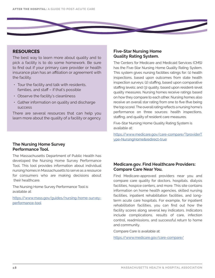

The best way to learn more about quality and to pick a facility is to do some homework. Be sure to find out if your primary care provider or health insurance plan has an affiliation or agreement with the facility.

- Tour the facility and talk with residents, families, and staff – if that's possible
- Observe the facility's cleanliness
- Gather information on quality and discharge success

There are several resources that can help you learn more about the quality of a facility or agency.

### **Five-Star Nursing Home Quality Rating System.**

The Centers for Medicare and Medicaid Services (CMS) has the Five-Star Nursing Home Quality Rating System. This system gives nursing facilities ratings for: (1) health inspections, based upon outcomes from state health inspection surveys; (2) staffing, based upon comparative staffing levels; and (3) quality, based upon resident-level quality measures. Nursing homes receive ratings based on how they compare to each other. Nursing homes also receive an overall star rating from one to five (five being the top score). The overall rating reflects a nursing home's performance on three sources: health inspections, staffing, and quality of resident care measures.

Five-Star Nursing Home Quality Rating System is available at:

[https://www.medicare.gov/care-compare/?providerT](https://www.medicare.gov/care-compare/?providerType=NursingHome&redirect=true) [ype=NursingHome&redirect=true](https://www.medicare.gov/care-compare/?providerType=NursingHome&redirect=true)

### **The Nursing Home Survey Performance Tool.**

The Massachusetts Department of Public Health has developed the Nursing Home Survey Performance Tool. This tool provides information about individual nursing homes in Massachusetts to serve as a resource for consumers who are making decisions about their healthcare.

The Nursing Home Survey Performance Tool is available at:

[https://www.mass.gov/guides/nursing-home-survey](https://www.mass.gov/guides/nursing-home-survey-performance-tool)[performance-tool](https://www.mass.gov/guides/nursing-home-survey-performance-tool)

## **Medicare.gov. Find Healthcare Providers: Compare Care Near You.**

Find Medicare-approved providers near you and compare care quality for doctors, hospitals, dialysis facilities, hospice centers, and more. This site contains information on home health agencies, skilled nursing facilities, inpatient rehabilitation facilities, and longterm acute care hospitals. For example, for inpatient rehabilitation facilities, you can find out how the facility scores along several key indicators. Indicators include complications, results of care, infection control, readmissions, and successful return to home and community.

Compare Care is available at:

<https://www.medicare.gov/care-compare/>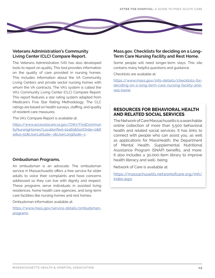

## **Veterans Administration's Community Living Center (CLC) Compare Report.**

The Veterans Administration (VA) has also developed tools to report on quality. This tool provides information on the quality of care provided in nursing homes. This includes information about the VA Community Living Centers and private sector nursing homes with whom the VA contracts. The VA's system is called the VA's Community Living Center (CLC) Compare Report. This report features a star rating system adapted from Medicare's Five Star Rating Methodology. The CLC ratings are based on health surveys, staffing, and quality of resident care measures.

The VA's Compare Report is available at:

[https://www.accesstocare.va.gov/CNH/FindCommun](https://www.accesstocare.va.gov/CNH/FindCommunityNursingHomes?LocationText=02465&SortOrder=0&Radius=) [ityNursingHomes?LocationText=02465&SortOrder=0&R](https://www.accesstocare.va.gov/CNH/FindCommunityNursingHomes?LocationText=02465&SortOrder=0&Radius=) [adius=50&UserLatitude=-1&UserLongitude=-1](https://www.accesstocare.va.gov/CNH/FindCommunityNursingHomes?LocationText=02465&SortOrder=0&Radius=)

## **Ombudsman Programs.**

An ombudsman is an advocate. The ombudsman service in Massachusetts offers a free service for older adults to voice their complaints and have concerns addressed so they can live with dignity and respect. These programs serve individuals in assisted living residences, home health care agencies, and long-term care facilities like nursing homes and rest homes.

Ombudsman information available at:

[https://www.mass.gov/service-details/ombudsman](https://www.mass.gov/service-details/ombudsman-programs)[programs](https://www.mass.gov/service-details/ombudsman-programs)

## **Mass.gov. Checklists for deciding on a Long-Term Care Nursing Facility and Rest Home.**

Some people will need longer-term stays. This site contains many helpful questions and guidance.

Checklists are available at:

[https://www.mass.gov/info-details/checklists-for](https://www.mass.gov/info-details/checklists-for-deciding-on-a-long-term-care-nursing-facility-and-rest-home)[deciding-on-a-long-term-care-nursing-facility-and](https://www.mass.gov/info-details/checklists-for-deciding-on-a-long-term-care-nursing-facility-and-rest-home)[rest-home](https://www.mass.gov/info-details/checklists-for-deciding-on-a-long-term-care-nursing-facility-and-rest-home)

## **RESOURCES FOR BEHAVIORAL HEALTH AND RELATED SOCIAL SERVICES**

The Network of Care Massachusetts is a searchable online collection of more than 5,500 behavioral health and related social services. It has links to connect with people who can assist you, as well as applications for MassHealth, the Department of Mental Health, Supplemental Nutritional Assistance Program (SNAP) benefits, and more. It also includes a 30,000-item library to improve health literacy and well- being.

Network of Care is available at:

[https://massachusetts.networkofcare.org/mh/](https://massachusetts.networkofcare.org/mh/index.aspx) [index.aspx](https://massachusetts.networkofcare.org/mh/index.aspx)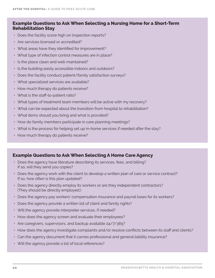## **Example Questions to Ask When Selecting a Nursing Home for a Short-Term Rehabilitation Stay**

- Does the facility score high on inspection reports?
- Are services licensed or accredited?
- What areas have they identified for improvement?
- What type of infection control measures are in place?
- Is the place clean and well-maintained?
- Is the building easily accessible indoors and outdoors?
- Does the facility conduct patient/family satisfaction surveys?
- What specialized services are available?
- How much therapy do patients receive?
- What is the staff-to-patient ratio?
- What types of treatment team members will be active with my recovery?
- What can be expected about the transition from hospital to rehabilitation?
- What items should you bring and what is provided?
- How do family members participate in care planning meetings?
- What is the process for helping set up in-home services if needed after the stay?
- How much therapy do patients receive?

## **Example Questions to Ask When Selecting A Home Care Agency**

- Does the agency have literature describing its services, fees, and billing? If so, will they send you copies?
- Does the agency work with the client to develop a written plan of care or service contract? If so, how often is this plan updated?
- Does the agency directly employ its workers or are they independent contractors? (They should be directly employed.)
- Does the agency pay workers' compensation insurance and payroll taxes for its workers?
- Does the agency provide a written list of client and family rights?
- Will the agency provide interpreter services, if needed?
- How does the agency screen and evaluate their employees?
- Are caregivers, supervisors, and backup available 24/7/365?
- How does the agency investigate complaints and/or resolve conflicts between its staff and clients?
- Can the agency document that it carries professional and general liability insurance?
- Will the agency provide a list of local references?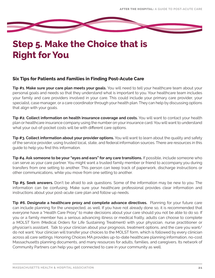

# **Step 5. Make the Choice that is Right for You**

## **Six Tips for Patients and Families in Finding Post-Acute Care**

**Tip #1. Make sure your care plan meets your goals.** You will need to tell your healthcare team about your personal goals and needs so that they understand what is important to you. Your healthcare team includes your family and care providers involved in your care. This could include your primary care provider, your specialist, case manager, or a care coordinator through your health plan. They can help by discussing options that align with your goals.

**Tip #2. Collect information on health insurance coverage and costs.** You will want to contact your health plan or healthcare insurance company using the number on your insurance card. You will want to understand what your out-of-pocket costs will be with different care options.

**Tip #3. Collect information about your provider options.** You will want to learn about the quality and safety of the service provider, using trusted local, state, and federal information sources. There are resources in this guide to help you find this information.

**Tip #4. Ask someone to be your "eyes and ears" for any care transitions.** If possible, include someone who can serve as your care partner. You might want a trusted family member or friend to accompany you during transfers from one setting to another. This person can keep track of paperwork, discharge instructions or other communications, while you move from one setting to another.

**Tip #5. Seek answers.** Don't be afraid to ask questions. Some of the information may be new to you. The information can be confusing. Make sure your healthcare professional provides clear information and instructions about your post-acute care plan and follow up needs.

**Tip #6. Designate a healthcare proxy and complete advance directives.** Planning for your future care can include planning for the unexpected, as well. If you have not already done so, it is recommended that everyone have a "Health Care Proxy" to make decisions about your care should you not be able to do so. If you or a family member has a serious advancing illness or medical frailty, adults can choose to complete a MOLST form (Medical Orders for Life Sustaining Treatment) with your physician, nurse practitioner or physician's assistant. Talk to your clinician about your prognosis, treatment options, and the care you want/ do not want. Your clinician will transfer your choices to the MOLST form, which is followed by every clinician across all care settings. Honoring Choices MA provides up-to-date healthcare planning information, no-cost Massachusetts planning documents, and many resources for adults, families, and caregivers. Its network of Community Partners can help you get connected to care in your community as well.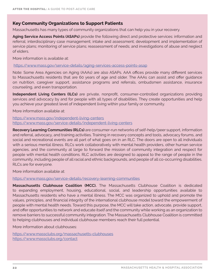## **Key Community Organizations to Support Patients**

Massachusetts has many types of community organizations that can help you in your recovery.

**Aging Service Access Points (ASAPs)** provide the following direct and protective services: information and referral; interdisciplinary case management; intake and assessment; development and implementation of service plans; monitoring of service plans; reassessment of needs; and investigations of abuse and neglect of elders.

More information is available at:

<https://www.mass.gov/service-details/aging-services-access-points-asap>

Note: Some Area Agencies on Aging (AAAs) are also ASAPs. AAA offices provide many different services to Massachusetts residents that are 60 years of age and older. The AAAs can assist and offer guidance on nutrition, caregiver support, assistance programs and referrals, ombudsmen assistance, insurance counseling, and even transportation.

**Independent Living Centers (ILCs)** are private, nonprofit, consumer-controlled organizations providing services and advocacy by and for people with all types of disabilities. They create opportunities and help you achieve your greatest level of independent living within your family or community.

More information available at:

<https://www.mass.gov/independent-living-centers> <https://www.mass.gov/service-details/independent-living-centers>

**Recovery Learning Communities (RLCs)** are consumer-run networks of self-help/peer support, information and referral, advocacy, and training activities. Training in recovery concepts and tools, advocacy forums, and social and recreational events are all part of what goes on in an RLC. The doors are open to all individuals with a serious mental illness. RLCs work collaboratively with mental health providers, other human service agencies, and the community at large to forward the mission of community integration and respect for people with mental health conditions. RLC activities are designed to appeal to the range of people in the community, including people of all racial and ethnic backgrounds, and people of all co-occurring disabilities. RLCs are for everyone.

More information available at:

<https://www.mass.gov/service-details/recovery-learning-communities>

**Massachusetts Clubhouse Coalition (MCC).** The Massachusetts Clubhouse Coalition is dedicated to expanding employment, housing, educational, social, and leadership opportunities available to Massachusetts residents who have a mental illness. The MCC was organized to uphold and promote the values, principles, and financial integrity of the international clubhouse model toward the empowerment of people with mental health needs. Toward this purpose, the MCC will take action, advocate, provide support, and offer opportunities to network and educate itself and the community while working as an organization to remove barriers to successful community integration. The Massachusetts Clubhouse Coalition is committed to helping clubhouses and individual clubhouse members reach their full potential.

More information about clubhouses:

<https://www.massclubs.org/massachusetts-clubhouses> <https://www.massclubs.org/contact>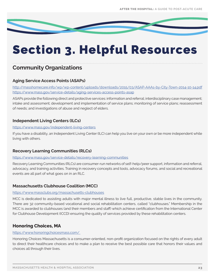

# Section 3. Helpful Resources

## **Community Organizations**

## **Aging Service Access Points (ASAPs)**

<http://masshomecare.info/wp/wp-content/uploads/downloads/2015/03/ASAP-AAAs-by-City-Town-2014-10-14.pdf> <https://www.mass.gov/service-details/aging-services-access-points-asap>

ASAPs provide the following direct and protective services: information and referral; interdisciplinary case management; intake and assessment; development and implementation of service plans; monitoring of service plans; reassessment of needs; and investigations of abuse and neglect of elders.

## **Independent Living Centers (ILCs)**

### <https://www.mass.gov/independent-living-centers>

If you have a disability, an Independent Living Center (ILC) can help you live on your own or be more independent while living with others.

## **Recovery Learning Communities (RLCs)**

#### <https://www.mass.gov/service-details/recovery-learning-communities>

Recovery Learning Communities (RLCs) are consumer-run networks of self-help/peer support, information and referral, advocacy, and training activities. Training in recovery concepts and tools, advocacy forums, and social and recreational events are all part of what goes on in an RLC.

## **Massachusetts Clubhouse Coalition (MCC)**

## <https://www.massclubs.org/massachusetts-clubhouses>

MCC is dedicated to assisting adults with major mental illness to live full, productive, stable lives in the community. There are 32 community-based vocational and social rehabilitation centers, called "clubhouses." Membership in the MCC is awarded to clubhouses (and their members and staff) which achieve certification from the International Center for Clubhouse Development (ICCD) ensuring the quality of services provided by these rehabilitation centers.

## **Honoring Choices, MA**

#### <https://www.honoringchoicesmass.com/>

Honoring Choices Massachusetts is a consumer-oriented, non-profit organization focused on the rights of every adult to direct their healthcare choices and to make a plan to receive the best possible care that honors their values and choices all through their lives.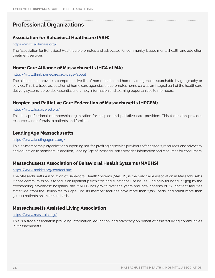## **Professional Organizations**

## **Association for Behavioral Healthcare (ABH)**

#### <https://www.abhmass.org/>

The Association for Behavioral Healthcare promotes and advocates for community-based mental health and addiction treatment services.

## **Home Care Alliance of Massachusetts (HCA of MA)**

#### <https://www.thinkhomecare.org/page/about>

The alliance can provide a comprehensive list of home health and home care agencies searchable by geography or service. This is a trade association of home care agencies that promotes home care as an integral part of the healthcare delivery system; it provides essential and timely information and learning opportunities to members.

## **Hospice and Palliative Care Federation of Massachusetts (HPCFM)**

#### <https://www.hospicefed.org/>

This is a professional membership organization for hospice and palliative care providers. This federation provides resources and referrals to patients and families.

## **LeadingAge Massachusetts**

#### <https://www.leadingagema.org/>

This is a membership organization supporting not-for-profit aging service providers offering tools, resources, and advocacy and education to members. In addition, LeadingAge of Massachusetts provides information and resources for consumers.

## **Massachusetts Association of Behavioral Health Systems (MABHS)**

#### <https://www.mabhs.org/contact.htm>

The Massachusetts Association of Behavioral Health Systems (MABHS) is the only trade association in Massachusetts whose central mission is to focus on inpatient psychiatric and substance use issues. Originally founded in 1989 by the freestanding psychiatric hospitals, the MABHS has grown over the years and now consists of 47 inpatient facilities statewide, from the Berkshires to Cape Cod. Its member facilities have more than 2,000 beds, and admit more than 50,000 patients on an annual basis.

## **Massachusetts Assisted Living Association**

#### <https://www.mass-ala.org/>

This is a trade association providing information, education, and advocacy on behalf of assisted living communities in Massachusetts.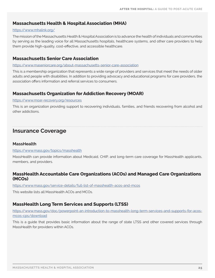## **Massachusetts Health & Hospital Association (MHA)**

#### <https://www.mhalink.org/>

The mission of the Massachusetts Health & Hospital Association is to advance the health of individuals and communities by serving as the leading voice for all Massachusetts hospitals, healthcare systems, and other care providers to help them provide high-quality, cost-effective, and accessible healthcare.

## **Massachusetts Senior Care Association**

#### <https://www.maseniorcare.org/about-massachusetts-senior-care-association>

This is a membership organization that represents a wide range of providers and services that meet the needs of older adults and people with disabilities. In addition to providing advocacy and educational programs for care providers, the association offers information and referral services to consumers.

## **Massachusetts Organization for Addiction Recovery (MOAR)**

#### <https://www.moar-recovery.org/resources>

This is an organization providing support to recovering individuals, families, and friends recovering from alcohol and other addictions.

## **Insurance Coverage**

## **MassHealth**

#### <https://www.mass.gov/topics/masshealth>

MassHealth can provide information about Medicaid, CHIP, and long-term care coverage for MassHealth applicants, members, and providers.

## **MassHealth Accountable Care Organizations (ACOs) and Managed Care Organizations (MCOs)**

<https://www.mass.gov/service-details/full-list-of-masshealth-acos-and-mcos>

This website lists all MassHealth ACOs and MCOs.

## **MassHealth Long Term Services and Supports (LTSS)**

[https://www.mass.gov/doc/powerpoint-an-introduction-to-masshealth-long-term-services-and-supports-for-acos](https://www.mass.gov/doc/powerpoint-an-introduction-to-masshealth-long-term-services-and-supports-for-acos-mcos-cps/download)mcos-cps/download

This is a guide that provides basic information about the range of state LTSS and other covered services through MassHealth for providers within ACOs.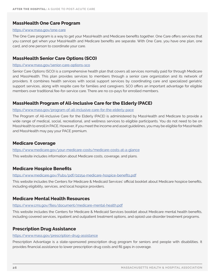## **MassHealth One Care Program**

#### <https://www.mass.gov/one-care>

The One Care program is a way to get your MassHealth and Medicare benefits together. One Care offers services that you cannot get when your MassHealth and Medicare benefits are separate. With One Care, you have one plan, one card, and one person to coordinate your care.

## **MassHealth Senior Care Options (SCO)**

#### <https://www.mass.gov/senior-care-options-sco>

Senior Care Options (SCO) is a comprehensive health plan that covers all services normally paid for through Medicare and MassHealth. This plan provides services to members through a senior care organization and its network of providers. It combines health services with social support services by coordinating care and specialized geriatric support services, along with respite care for families and caregivers. SCO offers an important advantage for eligible members over traditional fee-for-service care. There are no co-pays for enrolled members.

## **MassHealth Program of All-Inclusive Care for the Elderly (PACE)**

#### <https://www.mass.gov/program-of-all-inclusive-care-for-the-elderly-pace>

The Program of All-inclusive Care for the Elderly (PACE) is administered by MassHealth and Medicare to provide a wide range of medical, social, recreational, and wellness services to eligible participants. You do not need to be on MassHealth to enroll in PACE. However, if you meet the income and asset guidelines, you may be eligible for MassHealth and MassHealth may pay your PACE premium.

## **Medicare Coverage**

<https://www.medicare.gov/your-medicare-costs/medicare-costs-at-a-glance>

This website includes information about Medicare costs, coverage, and plans.

## **Medicare Hospice Benefits**

#### <https://www.medicare.gov/Pubs/pdf/02154-medicare-hospice-benefits.pdf>

This website includes the Centers for Medicare & Medicaid Services' official booklet about Medicare hospice benefits, including eligibility, services, and local hospice providers.

## **Medicare Mental Health Resources**

#### <https://www.cms.gov/files/document/medicare-mental-health.pdf>

This website includes the Centers for Medicare & Medicaid Services booklet about Medicare mental health benefits, including covered services, inpatient and outpatient treatment options, and opioid use disorder treatment programs.

## **Prescription Drug Assistance**

#### <https://www.mass.gov/prescription-drug-assistance>

Prescription Advantage is a state-sponsored prescription drug program for seniors and people with disabilities. It provides financial assistance to lower prescription drug costs and fill gaps in coverage.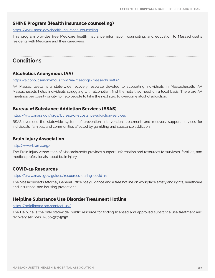## **SHINE Program (Health insurance counseling)**

#### <https://www.mass.gov/health-insurance-counseling>

This program provides free Medicare health insurance information, counseling, and education to Massachusetts residents with Medicare and their caregivers.

## **Conditions**

## **Alcoholics Anonymous (AA)**

#### <https://alcoholicsanonymous.com/aa-meetings/massachusetts/>

AA Massachusetts is a state-wide recovery resource devoted to supporting individuals in Massachusetts. AA Massachusetts helps individuals struggling with alcoholism find the help they need on a local basis. There are AA meetings per county or city, to help people to take the next step to overcome alcohol addiction.

## **Bureau of Substance Addiction Services (BSAS)**

#### <https://www.mass.gov/orgs/bureau-of-substance-addiction-services>

BSAS oversees the statewide system of prevention, intervention, treatment, and recovery support services for individuals, families, and communities affected by gambling and substance addiction.

## **Brain Injury Association**

#### <http://www.biama.org/>

The Brain Injury Association of Massachusetts provides support, information and resources to survivors, families, and medical professionals about brain injury.

## **COVID-19 Resources**

#### <https://www.mass.gov/guides/resources-during-covid-19>

The Massachusetts Attorney General Office has guidance and a free hotline on workplace safety and rights, healthcare and insurance, and housing protections.

## **Helpline Substance Use Disorder Treatment Hotline**

#### <https://helplinema.org/contact-us/>

The Helpline is the only statewide, public resource for finding licensed and approved substance use treatment and recovery services. 1-800-327-5050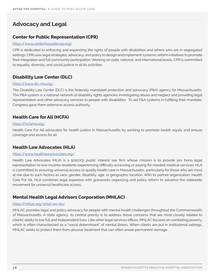## **Advocacy and Legal**

## **Center for Public Representation (CPR)**

#### <https://www.centerforpublicrep.org/>

CPR is dedicated to enforcing and expanding the rights of people with disabilities and others who are in segregated settings. CPR uses legal strategies, advocacy, and policy to design and implement systemic reform initiatives to promote their integration and full community participation. Working on state, national, and international levels, CPR is committed to equality, diversity, and social justice in all its activities.

## **Disability Law Center (DLC)**

#### <https://www.dlc-ma.org/>

The Disability Law Center (DLC) is the federally mandated protection and advocacy (P&A) agency for Massachusetts. The P&A system is a national network of disability rights agencies investigating abuse and neglect and providing legal representation and other advocacy services to people with disabilities. To aid P&A systems in fulfilling their mandate, Congress gave them extensive access authority.

## **Health Care for All (HCFA)**

#### <https://hcfama.org/>

Health Care For All advocates for health justice in Massachusetts by working to promote health equity and ensure coverage and access for all.

## **Health Law Advocates (HLA)**

#### <https://www.healthlawadvocates.org/>

Health Law Advocates (HLA) is a 501(c)(3) public interest law firm whose mission is to provide pro bono legal representation to low-income residents experiencing difficulty accessing or paying for needed medical services. HLA is committed to ensuring universal access to quality health care in Massachusetts, particularly for those who are most at risk due to such factors as race, gender, disability, age, or geographic location. With its partner organization, Health Care For All, HLA combines legal expertise with grassroots organizing and policy reform to advance the statewide movement for universal healthcare access.

## **Mental Health Legal Advisors Corporation (MHLAC)**

#### <https://mhlac.org/what-we-do/>

MHLAC provides legal and policy advocacy for people with mental health challenges throughout the Commonwealth of Massachusetts. A state agency, its central priority is to address those concerns that are most closely related to clients' ability to live full and independent lives. Like other legal services offices, MHLAC focuses on combating poverty, which is often characterized as a "social determinant" of mental illness. When clients are put in institutional settings, MHLAC seeks to protect them from abusive treatment that can often wreak permanent damage.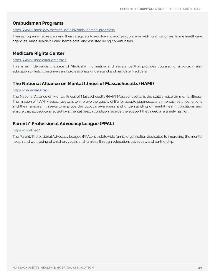## **Ombudsman Programs**

#### <https://www.mass.gov/service-details/ombudsman-programs>

These programs help elders and their caregivers to resolve and address concerns with nursing homes, home healthcare agencies, MassHealth-funded home care, and assisted living communities.

## **Medicare Rights Center**

#### <https://www.medicarerights.org/>

This is an independent source of Medicare information and assistance that provides counseling, advocacy, and education to help consumers and professionals understand and navigate Medicare.

## **The National Alliance on Mental Illness of Massachusetts (NAMI)**

#### <https://namimass.org/>

The National Alliance on Mental Illness of Massachusetts (NAMI Massachusetts) is the state's voice on mental illness. The mission of NAMI Massachusetts is to improve the quality of life for people diagnosed with mental health conditions and their families. It seeks to improve the public's awareness and understanding of mental health conditions and ensure that all people affected by a mental health condition receive the support they need in a timely fashion.

## **Parent/ Professional Advocacy League (PPAL)**

#### <https://ppal.net/>

The Parent/Professional Advocacy League (PPAL) is a statewide family organization dedicated to improving the mental health and well-being of children, youth, and families through education, advocacy, and partnership.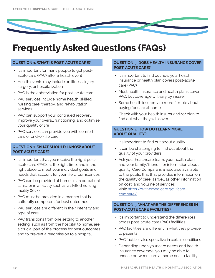# **Frequently Asked Questions (FAQs)**

### **QUESTION 1. WHAT IS POST-ACUTE CARE?**

- It's important for many people to get postacute care (PAC) after a health event
- Health events may include an illness, injury, surgery, or hospitalization
- PAC is the abbreviation for post-acute care
- PAC services include home health, skilled nursing care, therapy, and rehabilitation services
- PAC can support your continued recovery, improve your overall functioning, and optimize your quality of life
- PAC services can provide you with comfort care or end-of-life care

### **QUESTION 2. WHAT SHOULD I KNOW ABOUT POST-ACUTE CARE?**

- It's important that you receive the right postacute care (PAC), at the right time, and in the right place to meet your individual goals and needs that account for your life circumstances
- PAC can be provided at home, in an outpatient clinic, or in a facility such as a skilled nursing facility (SNF)
- PAC must be provided in a manner that is culturally competent for best outcomes
- PAC services are different in their intensity and type of care
- PAC transitions from one setting to another setting, such as from the hospital to home, are a crucial part of the process for best outcomes and to prevent a readmission to a hospital

### **QUESTION 3. DOES HEALTH INSURANCE COVER POST-ACUTE CARE?**

- It's important to find out how your health insurance or health plan covers post-acute care (PAC)
- Most health insurance and health plans cover PAC, but coverage will vary by insurer
- Some health insurers are more flexible about paying for care at home
- Check with your health insurer and/or plan to find out what they will cover

### **QUESTION 4. HOW DO I LEARN MORE ABOUT QUALITY?**

- It's important to find out about quality
- It can be challenging to find out about the quality of your providers
- Ask your healthcare team, your health plan, and your family/friends for information about quality. Care Compare is a resource available to the public that that provides information on the quality of care, as well as other information on cost, and volume of services. Visit: [https://www.medicare.gov/care](https://www.medicare.gov/care-compare/)[compare/](https://www.medicare.gov/care-compare/)

### **QUESTION 5. WHAT ARE THE DIFFERENCES IN POST-ACUTE CARE FACILITIES?**

- It's important to understand the differences across post-acute care (PAC) facilities
- PAC facilities are different in what they provide to patients
- PAC facilities also specialize in certain conditions
- Depending upon your care needs and health insurance coverage, you may be able to choose between care at home or at a facility